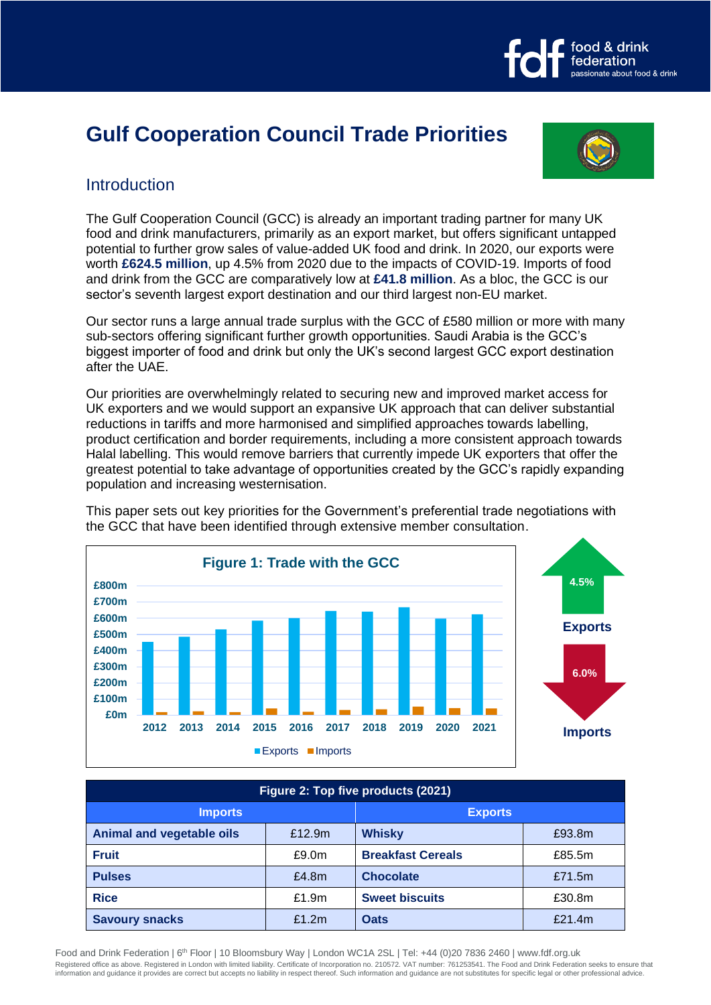# **Gulf Cooperation Council Trade Priorities**



food & drink federation

ssionate about food & drink

## **Introduction**

The Gulf Cooperation Council (GCC) is already an important trading partner for many UK food and drink manufacturers, primarily as an export market, but offers significant untapped potential to further grow sales of value-added UK food and drink. In 2020, our exports were worth **£624.5 million**, up 4.5% from 2020 due to the impacts of COVID-19. Imports of food and drink from the GCC are comparatively low at **£41.8 million**. As a bloc, the GCC is our sector's seventh largest export destination and our third largest non-EU market.

Our sector runs a large annual trade surplus with the GCC of £580 million or more with many sub-sectors offering significant further growth opportunities. Saudi Arabia is the GCC's biggest importer of food and drink but only the UK's second largest GCC export destination after the UAE.

Our priorities are overwhelmingly related to securing new and improved market access for UK exporters and we would support an expansive UK approach that can deliver substantial reductions in tariffs and more harmonised and simplified approaches towards labelling, product certification and border requirements, including a more consistent approach towards Halal labelling. This would remove barriers that currently impede UK exporters that offer the greatest potential to take advantage of opportunities created by the GCC's rapidly expanding population and increasing westernisation.



This paper sets out key priorities for the Government's preferential trade negotiations with the GCC that have been identified through extensive member consultation.

| Figure 2: Top five products (2021) |          |                          |        |
|------------------------------------|----------|--------------------------|--------|
| <b>Imports</b>                     |          | <b>Exports</b>           |        |
| Animal and vegetable oils          | £12.9m   | <b>Whisky</b>            | £93.8m |
| <b>Fruit</b>                       | £9.0m    | <b>Breakfast Cereals</b> | £85.5m |
| <b>Pulses</b>                      | £4.8m    | <b>Chocolate</b>         | £71.5m |
| <b>Rice</b>                        | £1.9m    | <b>Sweet biscuits</b>    | £30.8m |
| <b>Savoury snacks</b>              | £1.2 $m$ | <b>Oats</b>              | £21.4m |

Food and Drink Federation | 6<sup>th</sup> Floor | 10 Bloomsbury Way | London WC1A 2SL | Tel: +44 (0)20 7836 2460 | www.fdf.org.uk Registered office as above. Registered in London with limited liability. Certificate of Incorporation no. 210572. VAT number: 761253541. The Food and Drink Federation seeks to ensure that information and guidance it provides are correct but accepts no liability in respect thereof. Such information and guidance are not substitutes for specific legal or other professional advice.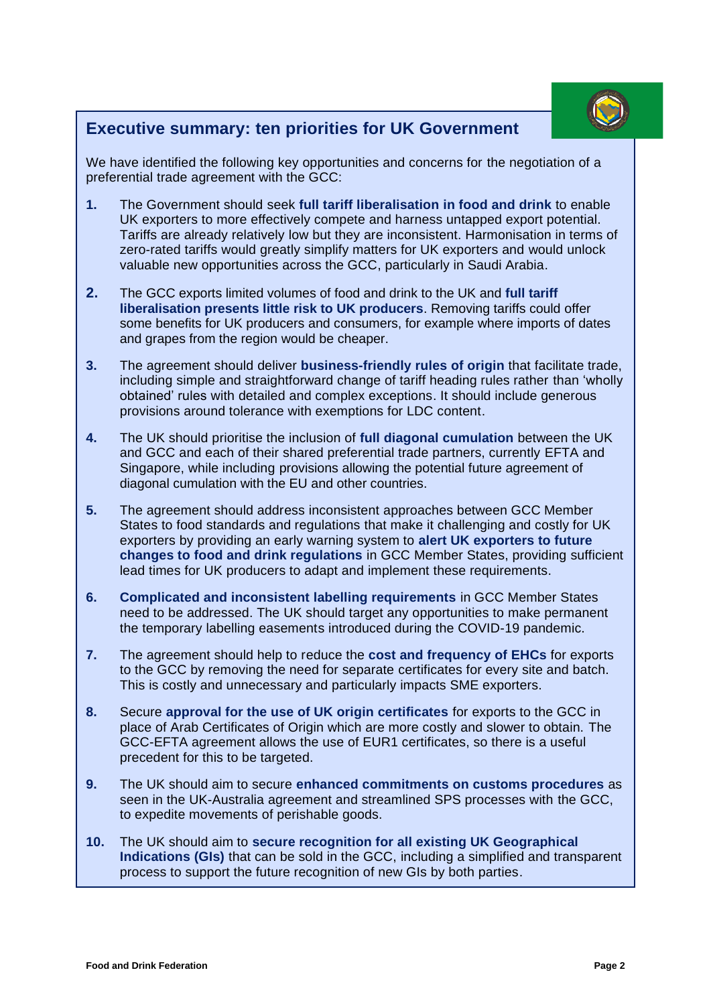

## **Executive summary: ten priorities for UK Government**

We have identified the following key opportunities and concerns for the negotiation of a preferential trade agreement with the GCC:

- **1.** The Government should seek **full tariff liberalisation in food and drink** to enable UK exporters to more effectively compete and harness untapped export potential. Tariffs are already relatively low but they are inconsistent. Harmonisation in terms of zero-rated tariffs would greatly simplify matters for UK exporters and would unlock valuable new opportunities across the GCC, particularly in Saudi Arabia.
- **2.** The GCC exports limited volumes of food and drink to the UK and **full tariff liberalisation presents little risk to UK producers**. Removing tariffs could offer some benefits for UK producers and consumers, for example where imports of dates and grapes from the region would be cheaper.
- **3.** The agreement should deliver **business-friendly rules of origin** that facilitate trade, including simple and straightforward change of tariff heading rules rather than 'wholly obtained' rules with detailed and complex exceptions. It should include generous provisions around tolerance with exemptions for LDC content.
- **4.** The UK should prioritise the inclusion of **full diagonal cumulation** between the UK and GCC and each of their shared preferential trade partners, currently EFTA and Singapore, while including provisions allowing the potential future agreement of diagonal cumulation with the EU and other countries.
- **5.** The agreement should address inconsistent approaches between GCC Member States to food standards and regulations that make it challenging and costly for UK exporters by providing an early warning system to **alert UK exporters to future changes to food and drink regulations** in GCC Member States, providing sufficient lead times for UK producers to adapt and implement these requirements.
- **6. Complicated and inconsistent labelling requirements** in GCC Member States need to be addressed. The UK should target any opportunities to make permanent the temporary labelling easements introduced during the COVID-19 pandemic.
- **7.** The agreement should help to reduce the **cost and frequency of EHCs** for exports to the GCC by removing the need for separate certificates for every site and batch. This is costly and unnecessary and particularly impacts SME exporters.
- **8.** Secure **approval for the use of UK origin certificates** for exports to the GCC in place of Arab Certificates of Origin which are more costly and slower to obtain. The GCC-EFTA agreement allows the use of EUR1 certificates, so there is a useful precedent for this to be targeted.
- **9.** The UK should aim to secure **enhanced commitments on customs procedures** as seen in the UK-Australia agreement and streamlined SPS processes with the GCC, to expedite movements of perishable goods.
- **10.** The UK should aim to **secure recognition for all existing UK Geographical Indications (GIs)** that can be sold in the GCC, including a simplified and transparent process to support the future recognition of new GIs by both parties.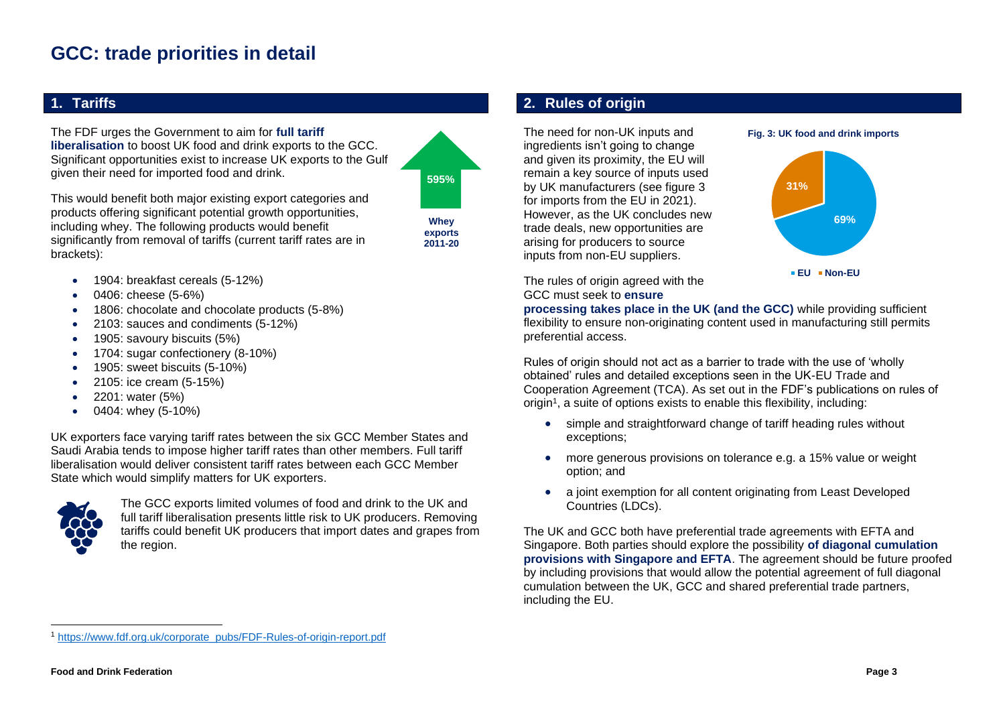## **GCC: trade priorities in detail**

### **1. Tariffs**

The FDF urges the Government to aim for **full tariff liberalisation** to boost UK food and drink exports to the GCC. Significant opportunities exist to increase UK exports to the Gulf given their need for imported food and drink.

**595%**

This would benefit both major existing export categories and products offering significant potential growth opportunities, including whey. The following products would benefit significantly from removal of tariffs (current tariff rates are in brackets):

**Whey exports 2011-20**

- 1904: breakfast cereals (5-12%)
- 0406: cheese (5-6%)
- 1806: chocolate and chocolate products (5-8%)
- 2103: sauces and condiments (5-12%)
- 1905: savoury biscuits (5%)
- 1704: sugar confectionery (8-10%)
- 1905: sweet biscuits (5-10%)
- 2105: ice cream (5-15%)
- 2201: water (5%)
- 0404: whey (5-10%)

UK exporters face varying tariff rates between the six GCC Member States and Saudi Arabia tends to impose higher tariff rates than other members. Full tariff liberalisation would deliver consistent tariff rates between each GCC Member State which would simplify matters for UK exporters.



The GCC exports limited volumes of food and drink to the UK and full tariff liberalisation presents little risk to UK producers. Removing tariffs could benefit UK producers that import dates and grapes from the region.

## **2. Rules of origin**

The need for non-UK inputs and ingredients isn't going to change and given its proximity, the EU will remain a key source of inputs used by UK manufacturers (see figure 3 for imports from the EU in 2021). However, as the UK concludes new trade deals, new opportunities are arising for producers to source inputs from non-EU suppliers.



**Fig. 3: UK food and drink imports**

The rules of origin agreed with the GCC must seek to **ensure** 

**processing takes place in the UK (and the GCC)** while providing sufficient flexibility to ensure non-originating content used in manufacturing still permits preferential access.

Rules of origin should not act as a barrier to trade with the use of 'wholly obtained' rules and detailed exceptions seen in the UK-EU Trade and Cooperation Agreement (TCA). As set out in the FDF's publications on rules of origin<sup>1</sup>, a suite of options exists to enable this flexibility, including:

- simple and straightforward change of tariff heading rules without exceptions;
- more generous provisions on tolerance e.g. a 15% value or weight option; and
- a joint exemption for all content originating from Least Developed Countries (LDCs).

The UK and GCC both have preferential trade agreements with EFTA and Singapore. Both parties should explore the possibility **of diagonal cumulation provisions with Singapore and EFTA**. The agreement should be future proofed by including provisions that would allow the potential agreement of full diagonal cumulation between the UK, GCC and shared preferential trade partners, including the EU.

<sup>1</sup> [https://www.fdf.org.uk/corporate\\_pubs/FDF-Rules-of-origin-report.pdf](https://www.fdf.org.uk/corporate_pubs/FDF-Rules-of-origin-report.pdf)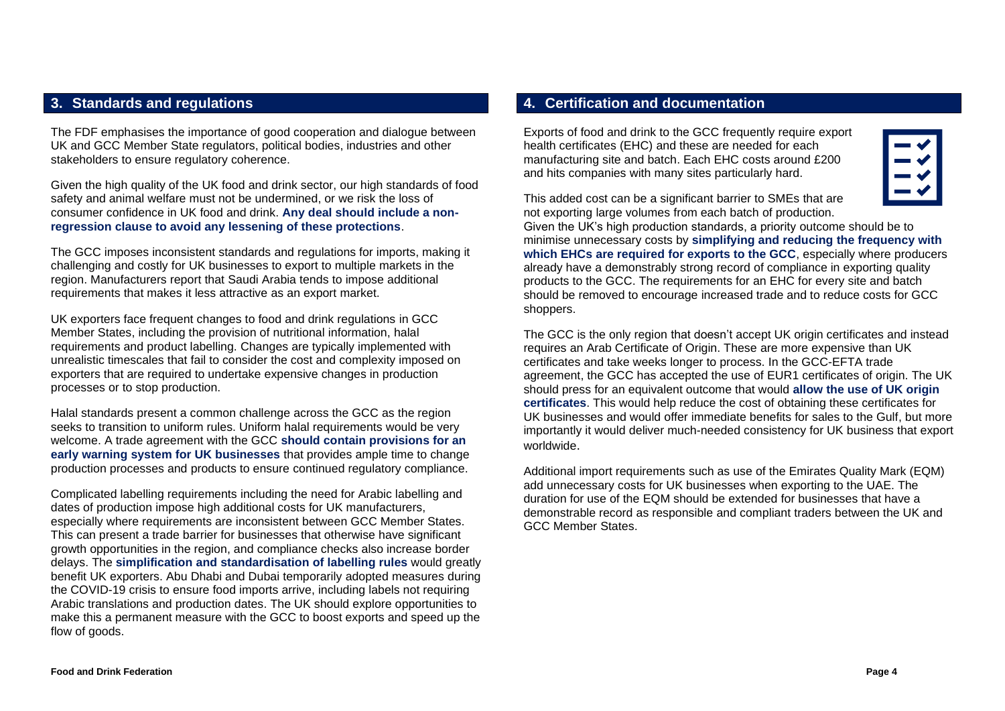#### **3. Standards and regulations**

The FDF emphasises the importance of good cooperation and dialogue between UK and GCC Member State regulators, political bodies, industries and other stakeholders to ensure regulatory coherence.

Given the high quality of the UK food and drink sector, our high standards of food safety and animal welfare must not be undermined, or we risk the loss of consumer confidence in UK food and drink. **Any deal should include a nonregression clause to avoid any lessening of these protections**.

The GCC imposes inconsistent standards and regulations for imports, making it challenging and costly for UK businesses to export to multiple markets in the region. Manufacturers report that Saudi Arabia tends to impose additional requirements that makes it less attractive as an export market.

UK exporters face frequent changes to food and drink regulations in GCC Member States, including the provision of nutritional information, halal requirements and product labelling. Changes are typically implemented with unrealistic timescales that fail to consider the cost and complexity imposed on exporters that are required to undertake expensive changes in production processes or to stop production.

Halal standards present a common challenge across the GCC as the region seeks to transition to uniform rules. Uniform halal requirements would be very welcome. A trade agreement with the GCC **should contain provisions for an early warning system for UK businesses** that provides ample time to change production processes and products to ensure continued regulatory compliance.

Complicated labelling requirements including the need for Arabic labelling and dates of production impose high additional costs for UK manufacturers, especially where requirements are inconsistent between GCC Member States. This can present a trade barrier for businesses that otherwise have significant growth opportunities in the region, and compliance checks also increase border delays. The **simplification and standardisation of labelling rules** would greatly benefit UK exporters. Abu Dhabi and Dubai temporarily adopted measures during the COVID-19 crisis to ensure food imports arrive, including labels not requiring Arabic translations and production dates. The UK should explore opportunities to make this a permanent measure with the GCC to boost exports and speed up the flow of goods.

## **4. Certification and documentation**

Exports of food and drink to the GCC frequently require export health certificates (EHC) and these are needed for each manufacturing site and batch. Each EHC costs around £200 and hits companies with many sites particularly hard.



This added cost can be a significant barrier to SMEs that are not exporting large volumes from each batch of production.

Given the UK's high production standards, a priority outcome should be to minimise unnecessary costs by **simplifying and reducing the frequency with which EHCs are required for exports to the GCC**, especially where producers already have a demonstrably strong record of compliance in exporting quality products to the GCC. The requirements for an EHC for every site and batch should be removed to encourage increased trade and to reduce costs for GCC shoppers.

The GCC is the only region that doesn't accept UK origin certificates and instead requires an Arab Certificate of Origin. These are more expensive than UK certificates and take weeks longer to process. In the GCC-EFTA trade agreement, the GCC has accepted the use of EUR1 certificates of origin. The UK should press for an equivalent outcome that would **allow the use of UK origin certificates**. This would help reduce the cost of obtaining these certificates for UK businesses and would offer immediate benefits for sales to the Gulf, but more importantly it would deliver much-needed consistency for UK business that export worldwide.

Additional import requirements such as use of the Emirates Quality Mark (EQM) add unnecessary costs for UK businesses when exporting to the UAE. The duration for use of the EQM should be extended for businesses that have a demonstrable record as responsible and compliant traders between the UK and GCC Member States.